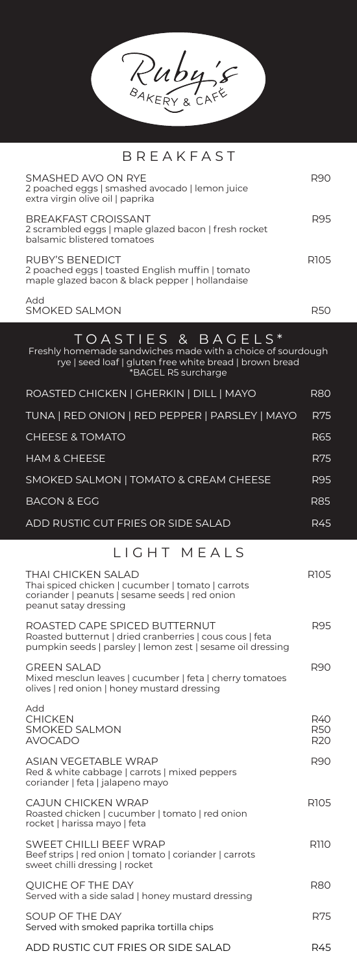Ruby's

## BREAKFAST

| SMASHED AVO ON RYE<br>2 poached eggs   smashed avocado   lemon juice<br>extra virgin olive oil   paprika                                                            | R90                                  |
|---------------------------------------------------------------------------------------------------------------------------------------------------------------------|--------------------------------------|
| <b>BREAKFAST CROISSANT</b><br>2 scrambled eggs   maple glazed bacon   fresh rocket<br>balsamic blistered tomatoes                                                   | R95                                  |
| RUBY'S BENEDICT<br>2 poached eggs   toasted English muffin   tomato<br>maple glazed bacon & black pepper   hollandaise                                              | R <sub>105</sub>                     |
| Add<br><b>SMOKED SALMON</b>                                                                                                                                         | R50                                  |
| TOASTIES & BAGELS*<br>Freshly homemade sandwiches made with a choice of sourdough<br>rye   seed loaf   gluten free white bread   brown bread<br>*BAGEL R5 surcharge |                                      |
| ROASTED CHICKEN   GHERKIN   DILL   MAYO                                                                                                                             | <b>R80</b>                           |
| TUNA   RED ONION   RED PEPPER   PARSLEY   MAYO                                                                                                                      | <b>R75</b>                           |
| <b>CHEESE &amp; TOMATO</b>                                                                                                                                          | R65                                  |
| <b>HAM &amp; CHEESE</b>                                                                                                                                             | <b>R75</b>                           |
| SMOKED SALMON   TOMATO & CREAM CHEESE                                                                                                                               | R95                                  |
| <b>BACON &amp; EGG</b>                                                                                                                                              | R85                                  |
| ADD RUSTIC CUT FRIES OR SIDE SALAD                                                                                                                                  | <b>R45</b>                           |
| LIGHT MEALS                                                                                                                                                         |                                      |
| THAI CHICKEN SALAD<br>Thai spiced chicken   cucumber   tomato   carrots<br>coriander   peanuts   sesame seeds   red onion<br>peanut satay dressing                  | R105                                 |
| ROASTED CAPE SPICED BUTTERNUT<br>Roasted butternut   dried cranberries   cous cous   feta<br>pumpkin seeds   parsley   lemon zest   sesame oil dressing             | R95                                  |
| <b>GREEN SALAD</b><br>Mixed mesclun leaves   cucumber   feta   cherry tomatoes<br>olives   red onion   honey mustard dressing                                       | R90                                  |
| Add<br><b>CHICKEN</b><br><b>SMOKED SALMON</b><br><b>AVOCADO</b>                                                                                                     | R40<br><b>R50</b><br>R <sub>20</sub> |
| <b>ASIAN VEGETABLE WRAP</b><br>Red & white cabbage   carrots   mixed peppers<br>coriander   feta   jalapeno mayo                                                    | R90                                  |
| CAJUN CHICKEN WRAP<br>Roasted chicken   cucumber   tomato   red onion<br>rocket   harissa mayo   feta                                                               | R <sub>105</sub>                     |
| SWEET CHILLI BEEF WRAP<br>Beef strips   red onion   tomato   coriander   carrots<br>sweet chilli dressing   rocket                                                  | R110                                 |
| QUICHE OF THE DAY<br>Served with a side salad   honey mustard dressing                                                                                              | R80                                  |
| SOUP OF THE DAY<br>Served with smoked paprika tortilla chips                                                                                                        | R75                                  |

ADD RUSTIC CUT FRIES OR SIDE SALAD R45